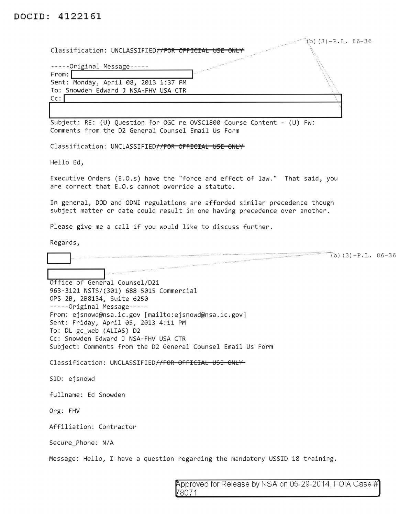**DOCID: 4122161** 

| $(b)$ (3) -P.L. 86-36                                                                                                                                     |
|-----------------------------------------------------------------------------------------------------------------------------------------------------------|
| Classification: UNCLASSIFIED//FOR OFFICIAL USE ONLY                                                                                                       |
| -----Original Message-----                                                                                                                                |
| From:<br>Sent: Monday, April 08, 2013 1:37 PM                                                                                                             |
| To: Snowden Edward J NSA-FHV USA CTR                                                                                                                      |
| Cc:                                                                                                                                                       |
| Subject: RE: (U) Question for OGC re OVSC1800 Course Content - (U) FW:                                                                                    |
| Comments from the D2 General Counsel Email Us Form                                                                                                        |
| Classification: UNCLASSIFIED//FOR OFFICIAL USE ONLY                                                                                                       |
| Hello Ed,                                                                                                                                                 |
| Executive Orders (E.O.s) have the "force and effect of law." That said, you<br>are correct that E.O.s cannot override a statute.                          |
| In general, DOD and ODNI regulations are afforded similar precedence though<br>subject matter or date could result in one having precedence over another. |
| Please give me a call if you would like to discuss further.                                                                                               |
| Regards,                                                                                                                                                  |
| (b) $(3) - P.L. 86-36$                                                                                                                                    |
|                                                                                                                                                           |
|                                                                                                                                                           |
| Office of General Counsel/D21                                                                                                                             |
| 963-3121 NSTS/(301) 688-5015 Commercial                                                                                                                   |
| OPS 2B, 2B8134, Suite 6250<br>-----Original Message-----                                                                                                  |
| From: ejsnowd@nsa.ic.gov [mailto:ejsnowd@nsa.ic.gov]<br>Sent: Friday, April 05, 2013 4:11 PM                                                              |
| To: DL gc_web (ALIAS) D2                                                                                                                                  |
| Cc: Snowden Edward J NSA-FHV USA CTR<br>Subject: Comments from the D2 General Counsel Email Us Form                                                       |
| Classification: UNCLASSIFIED//FOR OFFICIAL USE ONLY                                                                                                       |
| SID: ejsnowd                                                                                                                                              |
| fullname: Ed Snowden                                                                                                                                      |
| Org: FHV                                                                                                                                                  |
| Affiliation: Contractor                                                                                                                                   |
| Secure_Phone: N/A                                                                                                                                         |

pproved for Release by NSA on 05-29-2014, FOIA Case # $\,$ 8071